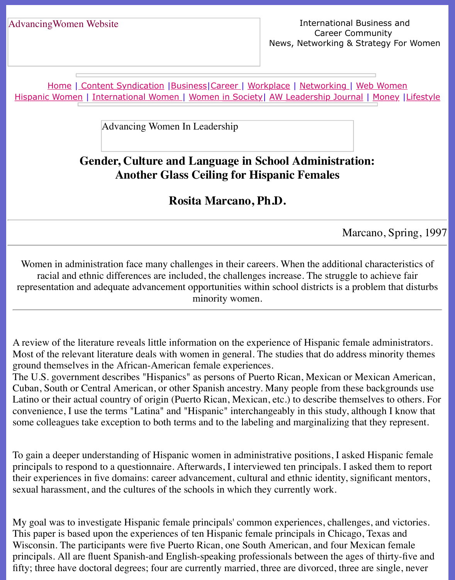Home | Content Syndication | Business | Career | Workplace | Networking | Web Wo Hispanic Women | International Women | Women in Society | AW Leadership Journal | Mon

Advancing Women In Leadership

# **[Gender, Culture](file:///content.html) [and Lan](file:///business.html)[guage](file:///awcareer.html) i[n School](file:///workplace.html) [Administra](file:///networks.html)t[ion:](file:///web.html) [Another Gla](file:///international.html)[s](file:///Users/nrahman/Desktop/Flash2/womsoc/index.html)s [Ceiling for His](file:///Users/nrahman/Desktop/Flash2/womsoc/index.html)[panic Females](file:///awl/awl.html)**

**Rosita Marcano, Ph.D.**

Marcano,

Women in administration face many challenges in their careers. When the additional chara racial and ethnic differences are included, the challenges increase. The struggle to achi representation and adequate advancement opportunities within school districts is a problem minority women.

A review of the literature reveals little information on the experience of Hispanic female adn Most of the relevant literature deals with women in general. The studies that do address minority of themes ground themselves in the African-American female experiences.

The U.S. government describes "Hispanics" as persons of Puerto Rican, Mexican or Mexican Cuban, South or Central American, or other Spanish ancestry. Many people from these backgrounds use Latino or their actual country of origin (Puerto Rican, Mexican, etc.) to describe themselves convenience, I use the terms "Latina" and "Hispanic" interchangeably in this study, although some colleagues take exception to both terms and to the labeling and marginalizing that they

To gain a deeper understanding of Hispanic women in administrative positions, I asked Hisp principals to respond to a questionnaire. Afterwards, I interviewed ten principals. I asked the their experiences in five domains: career advancement, cultural and ethnic identity, significant sexual harassment, and the cultures of the schools in which they currently work.

My goal was to investigate Hispanic female principals' common experiences, challenges, and This paper is based upon the experiences of ten Hispanic female principals in Chicago, Texa Wisconsin. The participants were five Puerto Rican, one South American, and four Mexican principals. All are fluent Spanish-and English-speaking professionals between the ages of thirty-five and  $\overline{a}$ fifty; three have doctoral degrees; four are currently married, three are divorced, three are single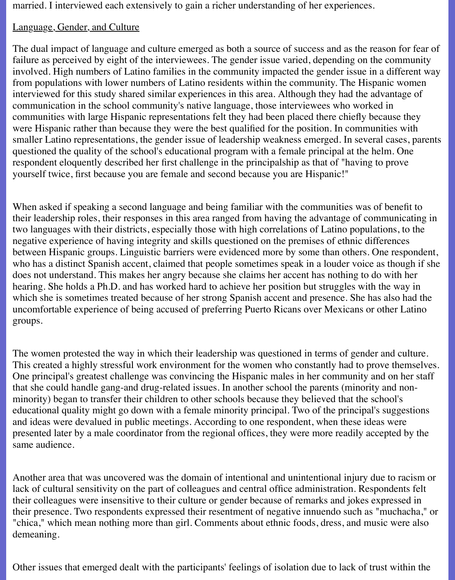married. I interviewed each extensively to gain a richer understanding of her experiences.

#### Language, Gender, and Culture

The dual impact of language and culture emerged as both a source of success and as the reason for fear of failure as perceived by eight of the interviewees. The gender issue varied, depending on the community involved. High numbers of Latino families in the community impacted the gender issue in a different way from populations with lower numbers of Latino residents within the community. The Hispanic women interviewed for this study shared similar experiences in this area. Although they had the advantage of communication in the school community's native language, those interviewees who worked in communities with large Hispanic representations felt they had been placed there chiefly because they were Hispanic rather than because they were the best qualified for the position. In communities with smaller Latino representations, the gender issue of leadership weakness emerged. In several cases, parents questioned the quality of the school's educational program with a female principal at the helm. One respondent eloquently described her first challenge in the principalship as that of "having to prove yourself twice, first because you are female and second because you are Hispanic!"

When asked if speaking a second language and being familiar with the communities was of benefit to their leadership roles, their responses in this area ranged from having the advantage of communicating in two languages with their districts, especially those with high correlations of Latino populations, to the negative experience of having integrity and skills questioned on the premises of ethnic differences between Hispanic groups. Linguistic barriers were evidenced more by some than others. One respondent, who has a distinct Spanish accent, claimed that people sometimes speak in a louder voice as though if she does not understand. This makes her angry because she claims her accent has nothing to do with her hearing. She holds a Ph.D. and has worked hard to achieve her position but struggles with the way in which she is sometimes treated because of her strong Spanish accent and presence. She has also had the uncomfortable experience of being accused of preferring Puerto Ricans over Mexicans or other Latino groups.

The women protested the way in which their leadership was questioned in terms of gender and culture. This created a highly stressful work environment for the women who constantly had to prove themselves. One principal's greatest challenge was convincing the Hispanic males in her community and on her staff that she could handle gang-and drug-related issues. In another school the parents (minority and nonminority) began to transfer their children to other schools because they believed that the school's educational quality might go down with a female minority principal. Two of the principal's suggestions and ideas were devalued in public meetings. According to one respondent, when these ideas were presented later by a male coordinator from the regional offices, they were more readily accepted by the same audience.

Another area that was uncovered was the domain of intentional and unintentional injury due to racism or lack of cultural sensitivity on the part of colleagues and central office administration. Respondents felt their colleagues were insensitive to their culture or gender because of remarks and jokes expressed in their presence. Two respondents expressed their resentment of negative innuendo such as "muchacha," or "chica," which mean nothing more than girl. Comments about ethnic foods, dress, and music were also demeaning.

Other issues that emerged dealt with the participants' feelings of isolation due to lack of trust within the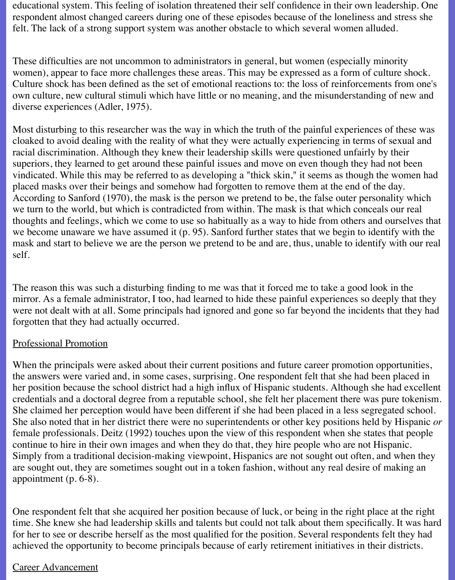educational system. This feeling of isolation threatened their self confidence in their own leadership. One respondent almost changed careers during one of these episodes because of the loneliness and stress she felt. The lack of a strong support system was another obstacle to which several women alluded.

These difficulties are not uncommon to administrators in general, but women (especially minority women), appear to face more challenges these areas. This may be expressed as a form of culture shock. Culture shock has been defined as the set of emotional reactions to: the loss of reinforcements from one's own culture, new cultural stimuli which have little or no meaning, and the misunderstanding of new and diverse experiences (Adler, 1975).

Most disturbing to this researcher was the way in which the truth of the painful experiences of these was cloaked to avoid dealing with the reality of what they were actually experiencing in terms of sexual and racial discrimination. Although they knew their leadership skills were questioned unfairly by their superiors, they learned to get around these painful issues and move on even though they had not been vindicated. While this may be referred to as developing a "thick skin," it seems as though the women had placed masks over their beings and somehow had forgotten to remove them at the end of the day. According to Sanford (1970), the mask is the person we pretend to be, the false outer personality which we turn to the world, but which is contradicted from within. The mask is that which conceals our real thoughts and feelings, which we come to use so habitually as a way to hide from others and ourselves that we become unaware we have assumed it (p. 95). Sanford further states that we begin to identify with the mask and start to believe we are the person we pretend to be and are, thus, unable to identify with our real self.

The reason this was such a disturbing finding to me was that it forced me to take a good look in the mirror. As a female administrator, I too, had learned to hide these painful experiences so deeply that they were not dealt with at all. Some principals had ignored and gone so far beyond the incidents that they had forgotten that they had actually occurred.

### Professional Promotion

When the principals were asked about their current positions and future career promotion opportunities, the answers were varied and, in some cases, surprising. One respondent felt that she had been placed in her position because the school district had a high influx of Hispanic students. Although she had excellent credentials and a doctoral degree from a reputable school, she felt her placement there was pure tokenism. She claimed her perception would have been different if she had been placed in a less segregated school. She also noted that in her district there were no superintendents or other key positions held by Hispanic *or* female professionals. Deitz (1992) touches upon the view of this respondent when she states that people continue to hire in their own images and when they do that, they hire people who are not Hispanic. Simply from a traditional decision-making viewpoint, Hispanics are not sought out often, and when they are sought out, they are sometimes sought out in a token fashion, without any real desire of making an appointment (p. 6-8).

One respondent felt that she acquired her position because of luck, or being in the right place at the right time. She knew she had leadership skills and talents but could not talk about them specifically. It was hard for her to see or describe herself as the most qualified for the position. Several respondents felt they had achieved the opportunity to become principals because of early retirement initiatives in their districts.

### Career Advancement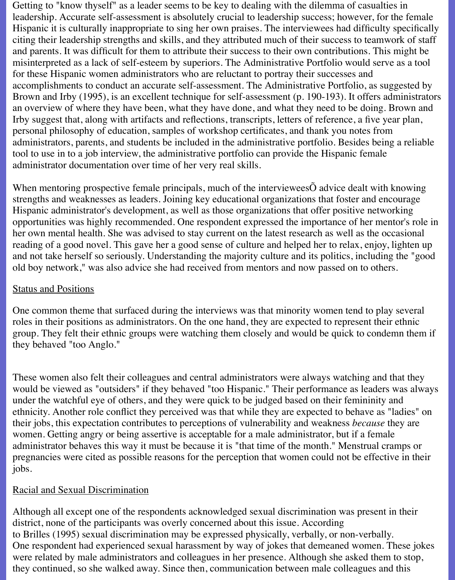Getting to "know thyself" as a leader seems to be key to dealing with the dilemma of casualties in leadership. Accurate self-assessment is absolutely crucial to leadership success; however, for the female Hispanic it is culturally inappropriate to sing her own praises. The interviewees had difficulty specifically citing their leadership strengths and skills, and they attributed much of their success to teamwork of staff and parents. It was difficult for them to attribute their success to their own contributions. This might be misinterpreted as a lack of self-esteem by superiors. The Administrative Portfolio would serve as a tool for these Hispanic women administrators who are reluctant to portray their successes and accomplishments to conduct an accurate self-assessment. The Administrative Portfolio, as suggested by Brown and Irby (1995), is an excellent technique for self-assessment (p. 190-193). It offers administrators an overview of where they have been, what they have done, and what they need to be doing. Brown and Irby suggest that, along with artifacts and reflections, transcripts, letters of reference, a five year plan, personal philosophy of education, samples of workshop certificates, and thank you notes from administrators, parents, and students be included in the administrative portfolio. Besides being a reliable tool to use in to a job interview, the administrative portfolio can provide the Hispanic female administrator documentation over time of her very real skills.

When mentoring prospective female principals, much of the intervieweesO advice dealt with knowing strengths and weaknesses as leaders. Joining key educational organizations that foster and encourage Hispanic administrator's development, as well as those organizations that offer positive networking opportunities was highly recommended. One respondent expressed the importance of her mentor's role in her own mental health. She was advised to stay current on the latest research as well as the occasional reading of a good novel. This gave her a good sense of culture and helped her to relax, enjoy, lighten up and not take herself so seriously. Understanding the majority culture and its politics, including the "good old boy network," was also advice she had received from mentors and now passed on to others.

## Status and Positions

One common theme that surfaced during the interviews was that minority women tend to play several roles in their positions as administrators. On the one hand, they are expected to represent their ethnic group. They felt their ethnic groups were watching them closely and would be quick to condemn them if they behaved "too Anglo."

These women also felt their colleagues and central administrators were always watching and that they would be viewed as "outsiders" if they behaved "too Hispanic." Their performance as leaders was always under the watchful eye of others, and they were quick to be judged based on their femininity and ethnicity. Another role conflict they perceived was that while they are expected to behave as "ladies" on their jobs, this expectation contributes to perceptions of vulnerability and weakness *because* they are women. Getting angry or being assertive is acceptable for a male administrator, but if a female administrator behaves this way it must be because it is "that time of the month." Menstrual cramps or pregnancies were cited as possible reasons for the perception that women could not be effective in their jobs.

### Racial and Sexual Discrimination

Although all except one of the respondents acknowledged sexual discrimination was present in their district, none of the participants was overly concerned about this issue. According to Brilles (1995) sexual discrimination may be expressed physically, verbally, or non-verbally. One respondent had experienced sexual harassment by way of jokes that demeaned women. These jokes were related by male administrators and colleagues in her presence. Although she asked them to stop, they continued, so she walked away. Since then, communication between male colleagues and this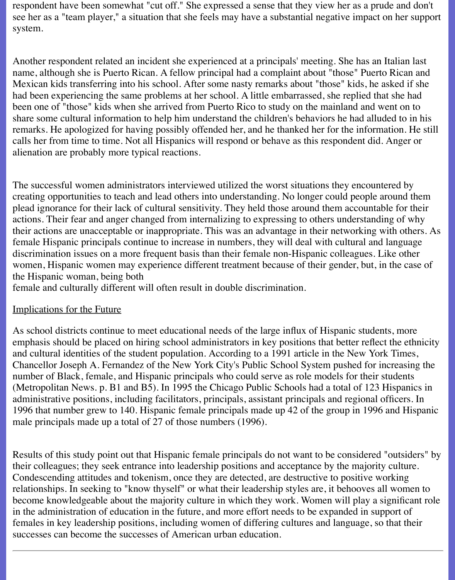respondent have been somewhat "cut off." She expressed a sense that they view her as a prude and don't see her as a "team player," a situation that she feels may have a substantial negative impact on her support system.

Another respondent related an incident she experienced at a principals' meeting. She has an Italian last name, although she is Puerto Rican. A fellow principal had a complaint about "those" Puerto Rican and Mexican kids transferring into his school. After some nasty remarks about "those" kids, he asked if she had been experiencing the same problems at her school. A little embarrassed, she replied that she had been one of "those" kids when she arrived from Puerto Rico to study on the mainland and went on to share some cultural information to help him understand the children's behaviors he had alluded to in his remarks. He apologized for having possibly offended her, and he thanked her for the information. He still calls her from time to time. Not all Hispanics will respond or behave as this respondent did. Anger or alienation are probably more typical reactions.

The successful women administrators interviewed utilized the worst situations they encountered by creating opportunities to teach and lead others into understanding. No longer could people around them plead ignorance for their lack of cultural sensitivity. They held those around them accountable for their actions. Their fear and anger changed from internalizing to expressing to others understanding of why their actions are unacceptable or inappropriate. This was an advantage in their networking with others. As female Hispanic principals continue to increase in numbers, they will deal with cultural and language discrimination issues on a more frequent basis than their female non-Hispanic colleagues. Like other women, Hispanic women may experience different treatment because of their gender, but, in the case of the Hispanic woman, being both

female and culturally different will often result in double discrimination.

### Implications for the Future

As school districts continue to meet educational needs of the large influx of Hispanic students, more emphasis should be placed on hiring school administrators in key positions that better reflect the ethnicity and cultural identities of the student population. According to a 1991 article in the New York Times, Chancellor Joseph A. Fernandez of the New York City's Public School System pushed for increasing the number of Black, female, and Hispanic principals who could serve as role models for their students (Metropolitan News. p. B1 and B5). In 1995 the Chicago Public Schools had a total of 123 Hispanics in administrative positions, including facilitators, principals, assistant principals and regional officers. In 1996 that number grew to 140. Hispanic female principals made up 42 of the group in 1996 and Hispanic male principals made up a total of 27 of those numbers (1996).

Results of this study point out that Hispanic female principals do not want to be considered "outsiders" by their colleagues; they seek entrance into leadership positions and acceptance by the majority culture. Condescending attitudes and tokenism, once they are detected, are destructive to positive working relationships. In seeking to "know thyself" or what their leadership styles are, it behooves all women to become knowledgeable about the majority culture in which they work. Women will play a significant role in the administration of education in the future, and more effort needs to be expanded in support of females in key leadership positions, including women of differing cultures and language, so that their successes can become the successes of American urban education.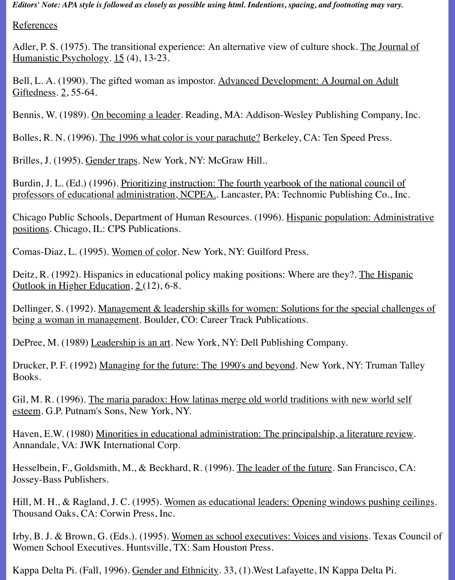*Editors' Note: APA style is followed as closely as possible using html. Indentions, spacing, and footnoting may vary.*

References

Adler, P. S. (1975). The transitional experience: An alternative view of culture shock. The Journal of Humanistic Psychology. 15 (4), 13-23.

Bell, L. A. (1990). The gifted woman as impostor. Advanced Development: A Journal on Adult Giftedness. 2, 55-64.

Bennis, W. (1989). On becoming a leader*.* Reading, MA: Addison-Wesley Publishing Company, Inc.

Bolles, R. N. (1996). The 1996 what color is your parachute? Berkeley, CA: Ten Speed Press.

Brilles, J. (1995). Gender traps. New York, NY: McGraw Hill..

Burdin, J. L. (Ed.) (1996). Prioritizing instruction: The fourth yearbook of the national council of professors of educational administration, NCPEA.. Lancaster, PA: Technomic Publishing Co., Inc.

Chicago Public Schools, Department of Human Resources. (1996). Hispanic population: Administrative positions*.* Chicago, IL: CPS Publications.

Comas-Diaz, L. (1995). Women of color*.* New York, NY: Guilford Press.

Deitz, R. (1992). Hispanics in educational policy making positions: Where are they?. The Hispanic Outlook in Higher Education, 2 (12), 6-8.

Dellinger, S. (1992). Management & leadership skills for women: Solutions for the special challenges of being a woman in management*.* Boulder, CO: Career Track Publications.

DePree, M. (1989) Leadership is an art*.* New York, NY: Dell Publishing Company.

Drucker, P. F. (1992) Managing for the future: The 1990's and beyond*.* New York, NY: Truman Talley Books.

Gil, M. R. (1996). The maria paradox: How latinas merge old world traditions with new world self esteem*.* G.P. Putnam's Sons, New York, NY.

Haven, E.W. (1980) Minorities in educational administration: The principalship, a literature review. Annandale, VA: JWK International Corp.

Hesselbein, F., Goldsmith, M., & Beckhard, R. (1996). The leader of the future*.* San Francisco, CA: Jossey-Bass Publishers.

Hill, M. H., & Ragland, J. C. (1995). Women as educational leaders: Opening windows pushing ceilings. Thousand Oaks, CA: Corwin Press, Inc.

Irby, B. J. & Brown, G. (Eds.). (1995). Women as school executives: Voices and visions. Texas Council of Women School Executives. Huntsville, TX: Sam Houston Press.

Kappa Delta Pi. (Fall, 1996). Gender and Ethnicity*.* 33, (1).West Lafayette, IN Kappa Delta Pi.